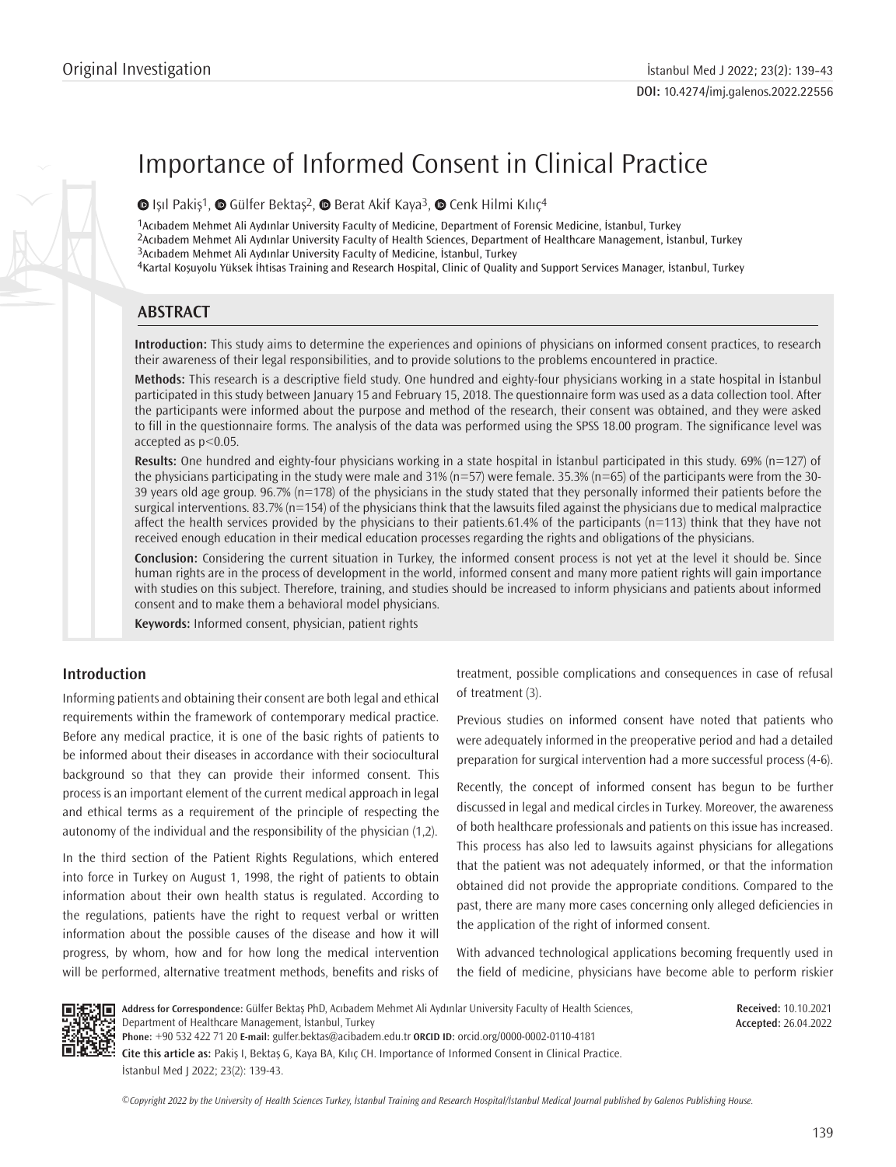# Importance of Informed Consent in Clinical Practice

 $\bullet$ Işıl Pakiş<sup>1</sup>,  $\bullet$  Gülfer Bektaş<sup>2</sup>,  $\bullet$  Berat Akif Kaya<sup>3</sup>,  $\bullet$  Cenk Hilmi Kılıç<sup>4</sup>

Acıbadem Mehmet Ali Aydınlar University Faculty of Medicine, Department of Forensic Medicine, İstanbul, Turkey Acıbadem Mehmet Ali Aydınlar University Faculty of Health Sciences, Department of Healthcare Management, İstanbul, Turkey Acıbadem Mehmet Ali Aydınlar University Faculty of Medicine, İstanbul, Turkey Kartal Koşuyolu Yüksek İhtisas Training and Research Hospital, Clinic of Quality and Support Services Manager, İstanbul, Turkey

# **ABSTRACT**

**Introduction:** This study aims to determine the experiences and opinions of physicians on informed consent practices, to research their awareness of their legal responsibilities, and to provide solutions to the problems encountered in practice.

**Methods:** This research is a descriptive field study. One hundred and eighty-four physicians working in a state hospital in İstanbul participated in this study between January 15 and February 15, 2018. The questionnaire form was used as a data collection tool. After the participants were informed about the purpose and method of the research, their consent was obtained, and they were asked to fill in the questionnaire forms. The analysis of the data was performed using the SPSS 18.00 program. The significance level was accepted as p<0.05.

**Results:** One hundred and eighty-four physicians working in a state hospital in İstanbul participated in this study. 69% (n=127) of the physicians participating in the study were male and 31% (n=57) were female. 35.3% (n=65) of the participants were from the 30- 39 years old age group. 96.7% (n=178) of the physicians in the study stated that they personally informed their patients before the surgical interventions. 83.7% (n=154) of the physicians think that the lawsuits filed against the physicians due to medical malpractice affect the health services provided by the physicians to their patients.61.4% of the participants (n=113) think that they have not received enough education in their medical education processes regarding the rights and obligations of the physicians.

**Conclusion:** Considering the current situation in Turkey, the informed consent process is not yet at the level it should be. Since human rights are in the process of development in the world, informed consent and many more patient rights will gain importance with studies on this subject. Therefore, training, and studies should be increased to inform physicians and patients about informed consent and to make them a behavioral model physicians.

**Keywords:** Informed consent, physician, patient rights

# **Introduction**

Informing patients and obtaining their consent are both legal and ethical requirements within the framework of contemporary medical practice. Before any medical practice, it is one of the basic rights of patients to be informed about their diseases in accordance with their sociocultural background so that they can provide their informed consent. This process is an important element of the current medical approach in legal and ethical terms as a requirement of the principle of respecting the autonomy of the individual and the responsibility of the physician (1,2).

In the third section of the Patient Rights Regulations, which entered into force in Turkey on August 1, 1998, the right of patients to obtain information about their own health status is regulated. According to the regulations, patients have the right to request verbal or written information about the possible causes of the disease and how it will progress, by whom, how and for how long the medical intervention will be performed, alternative treatment methods, benefits and risks of treatment, possible complications and consequences in case of refusal of treatment (3).

Previous studies on informed consent have noted that patients who were adequately informed in the preoperative period and had a detailed preparation for surgical intervention had a more successful process (4-6).

Recently, the concept of informed consent has begun to be further discussed in legal and medical circles in Turkey. Moreover, the awareness of both healthcare professionals and patients on this issue has increased. This process has also led to lawsuits against physicians for allegations that the patient was not adequately informed, or that the information obtained did not provide the appropriate conditions. Compared to the past, there are many more cases concerning only alleged deficiencies in the application of the right of informed consent.

With advanced technological applications becoming frequently used in the field of medicine, physicians have become able to perform riskier



**Received:** 10.10.2021 **Accepted:** 26.04.2022

**Cite this article as:** Pakiş I, Bektaş G, Kaya BA, Kılıç CH. Importance of Informed Consent in Clinical Practice. İstanbul Med J 2022; 23(2): 139-43.

*©*Copyright 2022 by the University of Health Sciences Turkey, İstanbul Training and Research Hospital/İstanbul Medical Journal published by Galenos Publishing House.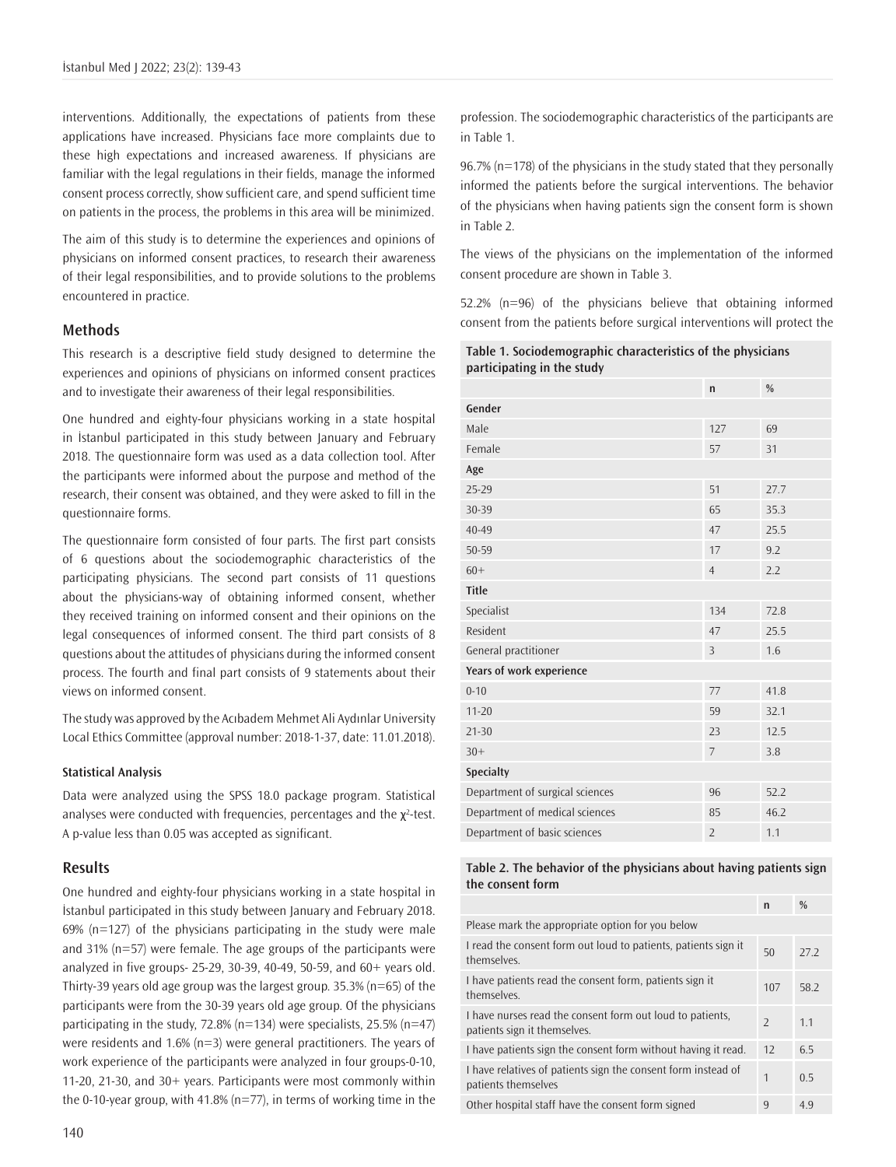interventions. Additionally, the expectations of patients from these applications have increased. Physicians face more complaints due to these high expectations and increased awareness. If physicians are familiar with the legal regulations in their fields, manage the informed consent process correctly, show sufficient care, and spend sufficient time on patients in the process, the problems in this area will be minimized.

The aim of this study is to determine the experiences and opinions of physicians on informed consent practices, to research their awareness of their legal responsibilities, and to provide solutions to the problems encountered in practice.

## **Methods**

This research is a descriptive field study designed to determine the experiences and opinions of physicians on informed consent practices and to investigate their awareness of their legal responsibilities.

One hundred and eighty-four physicians working in a state hospital in İstanbul participated in this study between January and February 2018. The questionnaire form was used as a data collection tool. After the participants were informed about the purpose and method of the research, their consent was obtained, and they were asked to fill in the questionnaire forms.

The questionnaire form consisted of four parts. The first part consists of 6 questions about the sociodemographic characteristics of the participating physicians. The second part consists of 11 questions about the physicians-way of obtaining informed consent, whether they received training on informed consent and their opinions on the legal consequences of informed consent. The third part consists of 8 questions about the attitudes of physicians during the informed consent process. The fourth and final part consists of 9 statements about their views on informed consent.

The study was approved by the Acıbadem Mehmet Ali Aydınlar University Local Ethics Committee (approval number: 2018-1-37, date: 11.01.2018).

#### **Statistical Analysis**

Data were analyzed using the SPSS 18.0 package program. Statistical analyses were conducted with frequencies, percentages and the  $\chi^2$ -test. A p-value less than 0.05 was accepted as significant.

#### **Results**

One hundred and eighty-four physicians working in a state hospital in İstanbul participated in this study between January and February 2018.  $69\%$  ( $n=127$ ) of the physicians participating in the study were male and 31% (n=57) were female. The age groups of the participants were analyzed in five groups- 25-29, 30-39, 40-49, 50-59, and 60+ years old. Thirty-39 years old age group was the largest group. 35.3% (n=65) of the participants were from the 30-39 years old age group. Of the physicians participating in the study, 72.8% (n=134) were specialists, 25.5% (n=47) were residents and 1.6% (n=3) were general practitioners. The years of work experience of the participants were analyzed in four groups-0-10, 11-20, 21-30, and 30+ years. Participants were most commonly within the 0-10-year group, with 41.8% (n=77), in terms of working time in the profession. The sociodemographic characteristics of the participants are in Table 1.

96.7% (n=178) of the physicians in the study stated that they personally informed the patients before the surgical interventions. The behavior of the physicians when having patients sign the consent form is shown in Table 2.

The views of the physicians on the implementation of the informed consent procedure are shown in Table 3.

52.2% (n=96) of the physicians believe that obtaining informed consent from the patients before surgical interventions will protect the

| Table 1. Sociodemographic characteristics of the physicians |
|-------------------------------------------------------------|
| participating in the study                                  |

|                                 | $\mathsf{n}$   | %    |
|---------------------------------|----------------|------|
| Gender                          |                |      |
| Male                            | 127            | 69   |
| Female                          | 57             | 31   |
| Age                             |                |      |
| $25 - 29$                       | 51             | 27.7 |
| 30-39                           | 65             | 35.3 |
| 40-49                           | 47             | 25.5 |
| 50-59                           | 17             | 9.2  |
| $60+$                           | $\overline{4}$ | 2.2  |
| <b>Title</b>                    |                |      |
| Specialist                      | 134            | 72.8 |
| Resident                        | 47             | 25.5 |
| General practitioner            | $\overline{3}$ | 1.6  |
| Years of work experience        |                |      |
| $0 - 10$                        | 77             | 41.8 |
| $11 - 20$                       | 59             | 32.1 |
| $21 - 30$                       | 23             | 12.5 |
| $30+$                           | $\overline{7}$ | 3.8  |
| Specialty                       |                |      |
| Department of surgical sciences | 96             | 52.2 |
| Department of medical sciences  | 85             | 46.2 |
| Department of basic sciences    | $\overline{2}$ | 1.1  |

#### **Table 2. The behavior of the physicians about having patients sign the consent form**

|                                                                                           | n                        | $\%$           |
|-------------------------------------------------------------------------------------------|--------------------------|----------------|
| Please mark the appropriate option for you below                                          |                          |                |
| I read the consent form out loud to patients, patients sign it<br>themselves.             | 50                       | 27.2           |
| I have patients read the consent form, patients sign it<br>themselves.                    | 107                      | 58.2           |
| I have nurses read the consent form out loud to patients,<br>patients sign it themselves. | $\overline{\phantom{a}}$ | 11             |
| I have patients sign the consent form without having it read.                             | 12                       | 6.5            |
| I have relatives of patients sign the consent form instead of<br>patients themselves      | $\mathbf{1}$             | 0 <sub>5</sub> |
| Other hospital staff have the consent form signed                                         | 9                        | 4.9            |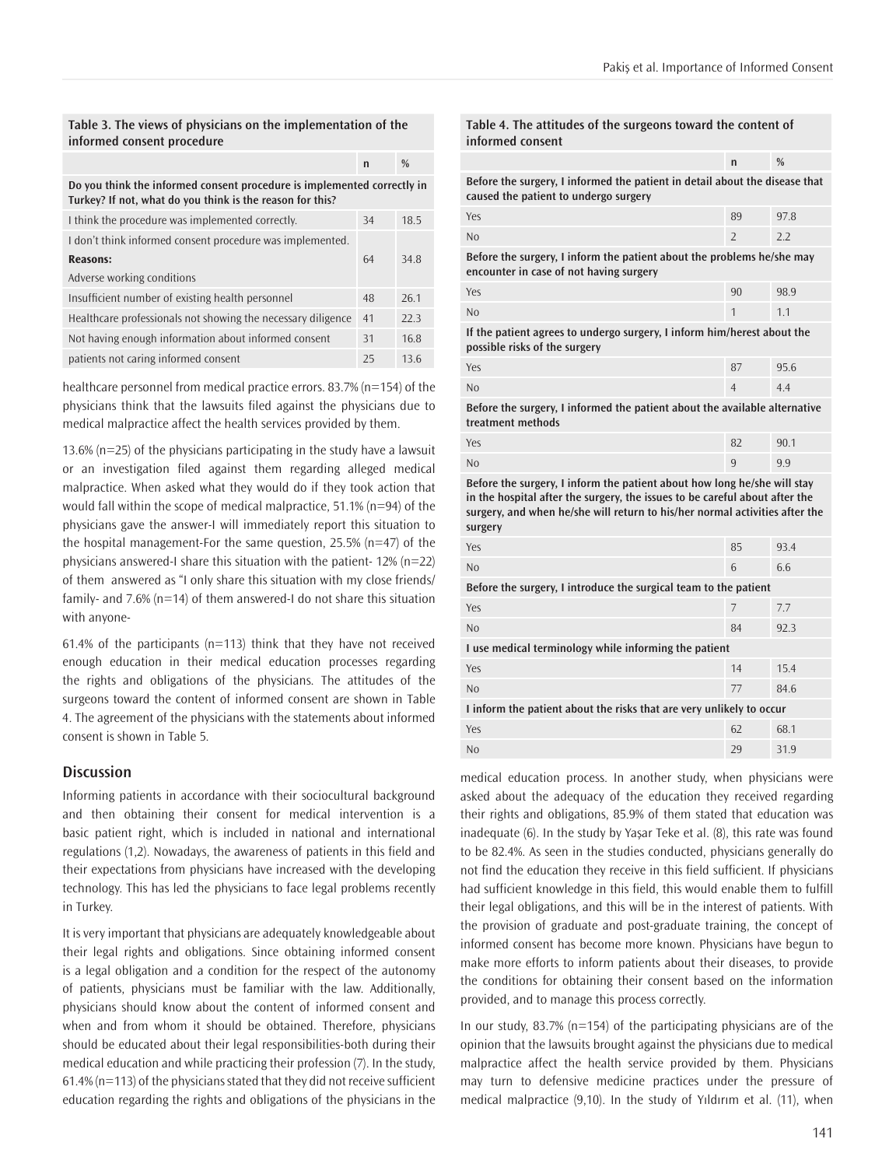#### **Table 3. The views of physicians on the implementation of the informed consent procedure**

**Do you think the informed consent procedure is implemented correctly in Turkey? If not, what do you think is the reason for this?**

**n %**

| I think the procedure was implemented correctly.             | 34 | 18.5 |
|--------------------------------------------------------------|----|------|
| I don't think informed consent procedure was implemented.    |    |      |
| <b>Reasons:</b>                                              | 64 | 34.8 |
| Adverse working conditions                                   |    |      |
| Insufficient number of existing health personnel             | 48 | 26.1 |
| Healthcare professionals not showing the necessary diligence | 41 | 223  |
| Not having enough information about informed consent         | 31 | 16.8 |
| patients not caring informed consent                         | 25 | 136  |

healthcare personnel from medical practice errors. 83.7% (n=154) of the physicians think that the lawsuits filed against the physicians due to medical malpractice affect the health services provided by them.

13.6% (n=25) of the physicians participating in the study have a lawsuit or an investigation filed against them regarding alleged medical malpractice. When asked what they would do if they took action that would fall within the scope of medical malpractice, 51.1% (n=94) of the physicians gave the answer-I will immediately report this situation to the hospital management-For the same question, 25.5% (n=47) of the physicians answered-I share this situation with the patient- 12% (n=22) of them answered as "I only share this situation with my close friends/ family- and 7.6% (n=14) of them answered-I do not share this situation with anyone-

61.4% of the participants ( $n=113$ ) think that they have not received enough education in their medical education processes regarding the rights and obligations of the physicians. The attitudes of the surgeons toward the content of informed consent are shown in Table 4. The agreement of the physicians with the statements about informed consent is shown in Table 5.

#### **Discussion**

Informing patients in accordance with their sociocultural background and then obtaining their consent for medical intervention is a basic patient right, which is included in national and international regulations (1,2). Nowadays, the awareness of patients in this field and their expectations from physicians have increased with the developing technology. This has led the physicians to face legal problems recently in Turkey.

It is very important that physicians are adequately knowledgeable about their legal rights and obligations. Since obtaining informed consent is a legal obligation and a condition for the respect of the autonomy of patients, physicians must be familiar with the law. Additionally, physicians should know about the content of informed consent and when and from whom it should be obtained. Therefore, physicians should be educated about their legal responsibilities-both during their medical education and while practicing their profession (7). In the study, 61.4% (n=113) of the physicians stated that they did not receive sufficient education regarding the rights and obligations of the physicians in the **Table 4. The attitudes of the surgeons toward the content of informed consent**

| $\mathsf{n}$                                                                                                         | $\frac{0}{0}$ |  |
|----------------------------------------------------------------------------------------------------------------------|---------------|--|
| Before the surgery, I informed the patient in detail about the disease that<br>caused the patient to undergo surgery |               |  |
| 89                                                                                                                   | 97.8          |  |
| $\overline{\phantom{a}}$                                                                                             | 2.2           |  |
| Before the surgery, I inform the patient about the problems he/she may<br>encounter in case of not having surgery    |               |  |
| 90                                                                                                                   | 98.9          |  |
| 1                                                                                                                    | 1.1           |  |
| If the patient agrees to undergo surgery, I inform him/herest about the<br>possible risks of the surgery             |               |  |
| 87                                                                                                                   | 95.6          |  |
| $\overline{4}$                                                                                                       | 4.4           |  |
|                                                                                                                      |               |  |

**Before the surgery, I informed the patient about the available alternative treatment methods**

| Yes            | 82          | 90.1 |
|----------------|-------------|------|
| N <sub>0</sub> | $\mathbf Q$ | 9.9  |

**Before the surgery, I inform the patient about how long he/she will stay in the hospital after the surgery, the issues to be careful about after the surgery, and when he/she will return to his/her normal activities after the surgery**

| Yes                                                                  | 85 | 93.4 |
|----------------------------------------------------------------------|----|------|
| N <sub>0</sub>                                                       | 6  | 6.6  |
| Before the surgery, I introduce the surgical team to the patient     |    |      |
| Yes                                                                  | 7  | 7.7  |
| N <sub>0</sub>                                                       | 84 | 92.3 |
| I use medical terminology while informing the patient                |    |      |
| Yes                                                                  | 14 | 15.4 |
| N <sub>0</sub>                                                       | 77 | 84.6 |
| I inform the patient about the risks that are very unlikely to occur |    |      |
| Yes                                                                  | 62 | 68.1 |
| N <sub>0</sub>                                                       | 29 | 31.9 |

medical education process. In another study, when physicians were asked about the adequacy of the education they received regarding their rights and obligations, 85.9% of them stated that education was inadequate (6). In the study by Yaşar Teke et al. (8), this rate was found to be 82.4%. As seen in the studies conducted, physicians generally do not find the education they receive in this field sufficient. If physicians had sufficient knowledge in this field, this would enable them to fulfill their legal obligations, and this will be in the interest of patients. With the provision of graduate and post-graduate training, the concept of informed consent has become more known. Physicians have begun to make more efforts to inform patients about their diseases, to provide the conditions for obtaining their consent based on the information provided, and to manage this process correctly.

In our study, 83.7% (n=154) of the participating physicians are of the opinion that the lawsuits brought against the physicians due to medical malpractice affect the health service provided by them. Physicians may turn to defensive medicine practices under the pressure of medical malpractice (9,10). In the study of Yıldırım et al. (11), when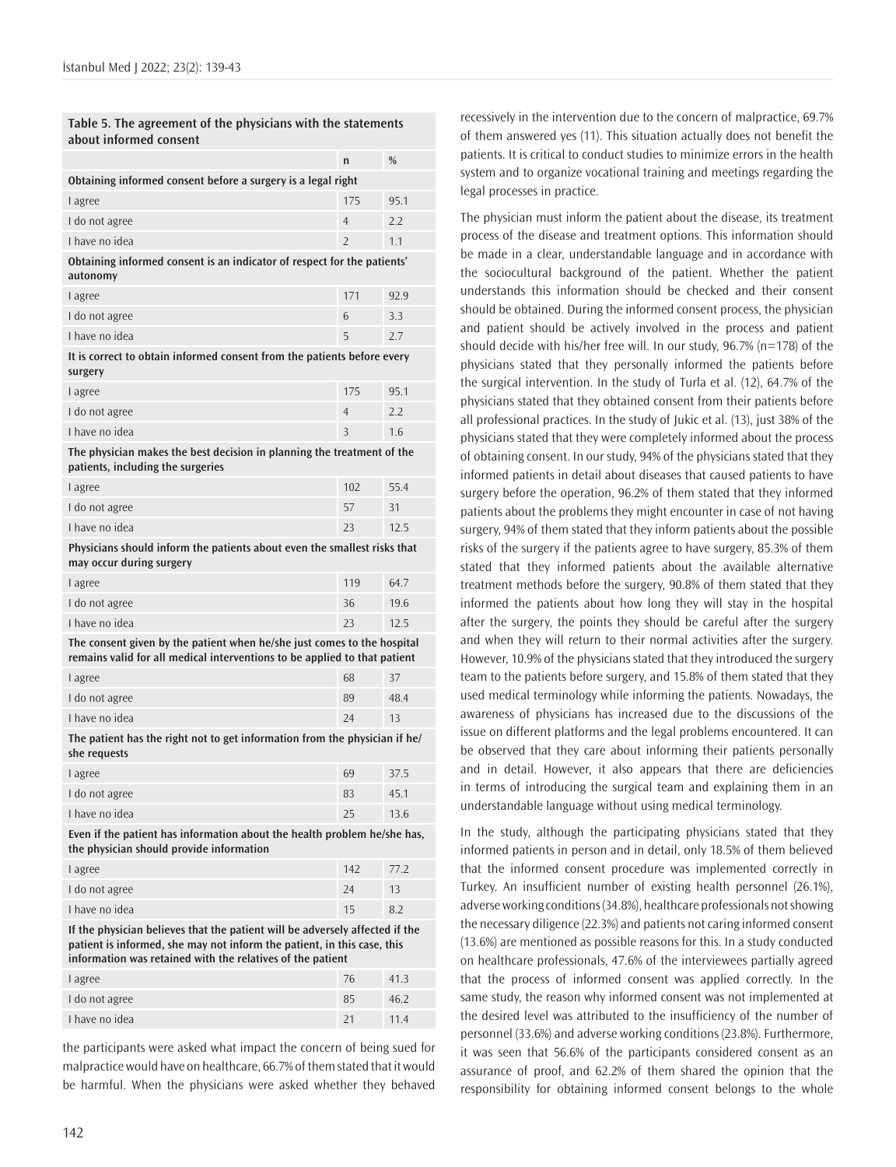| Table 5. The agreement of the physicians with the statements<br>about informed consent                                                                                                                                |                |      |
|-----------------------------------------------------------------------------------------------------------------------------------------------------------------------------------------------------------------------|----------------|------|
|                                                                                                                                                                                                                       | n              | %    |
| Obtaining informed consent before a surgery is a legal right                                                                                                                                                          |                |      |
| I agree                                                                                                                                                                                                               | 175            | 95.1 |
| I do not agree                                                                                                                                                                                                        | 4              | 2.2  |
| I have no idea                                                                                                                                                                                                        | $\overline{2}$ | 1.1  |
| Obtaining informed consent is an indicator of respect for the patients'<br>autonomy                                                                                                                                   |                |      |
| I agree                                                                                                                                                                                                               | 171            | 92.9 |
| I do not agree                                                                                                                                                                                                        | 6              | 3.3  |
| I have no idea                                                                                                                                                                                                        | 5              | 2.7  |
| It is correct to obtain informed consent from the patients before every<br>surgery                                                                                                                                    |                |      |
| I agree                                                                                                                                                                                                               | 175            | 95.1 |
| I do not agree                                                                                                                                                                                                        | 4              | 2.2  |
| I have no idea                                                                                                                                                                                                        | 3              | 1.6  |
| The physician makes the best decision in planning the treatment of the<br>patients, including the surgeries                                                                                                           |                |      |
| I agree                                                                                                                                                                                                               | 102            | 55.4 |
| I do not agree                                                                                                                                                                                                        | 57             | 31   |
| I have no idea                                                                                                                                                                                                        | 23             | 12.5 |
| Physicians should inform the patients about even the smallest risks that<br>may occur during surgery                                                                                                                  |                |      |
| I agree                                                                                                                                                                                                               | 119            | 64.7 |
| I do not agree                                                                                                                                                                                                        | 36             | 19.6 |
| I have no idea                                                                                                                                                                                                        | 23             | 12.5 |
| The consent given by the patient when he/she just comes to the hospital<br>remains valid for all medical interventions to be applied to that patient                                                                  |                |      |
| I agree                                                                                                                                                                                                               | 68             | 37   |
| I do not agree                                                                                                                                                                                                        | 89             | 48.4 |
| I have no idea                                                                                                                                                                                                        | 24             | 13   |
| The patient has the right not to get information from the physician if he/<br>she requests                                                                                                                            |                |      |
| l agree                                                                                                                                                                                                               | 69             | 37.5 |
| I do not agree                                                                                                                                                                                                        | 83             | 45.1 |
| I have no idea                                                                                                                                                                                                        | 25             | 13.6 |
| Even if the patient has information about the health problem he/she has,<br>the physician should provide information                                                                                                  |                |      |
| I agree                                                                                                                                                                                                               | 142            | 77.2 |
| I do not agree                                                                                                                                                                                                        | 24             | 13   |
| I have no idea                                                                                                                                                                                                        | 15             | 8.2  |
| If the physician believes that the patient will be adversely affected if the<br>patient is informed, she may not inform the patient, in this case, this<br>information was retained with the relatives of the patient |                |      |
| l agree                                                                                                                                                                                                               | 76             | 41.3 |
| I do not agree                                                                                                                                                                                                        | 85             | 46.2 |

the participants were asked what impact the concern of being sued for malpractice would have on healthcare, 66.7% of them stated that it would be harmful. When the physicians were asked whether they behaved

I have no idea 21 11.4

recessively in the intervention due to the concern of malpractice, 69.7% of them answered yes (11). This situation actually does not benefit the patients. It is critical to conduct studies to minimize errors in the health system and to organize vocational training and meetings regarding the legal processes in practice.

The physician must inform the patient about the disease, its treatment process of the disease and treatment options. This information should be made in a clear, understandable language and in accordance with the sociocultural background of the patient. Whether the patient understands this information should be checked and their consent should be obtained. During the informed consent process, the physician and patient should be actively involved in the process and patient should decide with his/her free will. In our study, 96.7% (n=178) of the physicians stated that they personally informed the patients before the surgical intervention. In the study of Turla et al. (12), 64.7% of the physicians stated that they obtained consent from their patients before all professional practices. In the study of Jukic et al. (13), just 38% of the physicians stated that they were completely informed about the process of obtaining consent. In our study, 94% of the physicians stated that they informed patients in detail about diseases that caused patients to have surgery before the operation, 96.2% of them stated that they informed patients about the problems they might encounter in case of not having surgery, 94% of them stated that they inform patients about the possible risks of the surgery if the patients agree to have surgery, 85.3% of them stated that they informed patients about the available alternative treatment methods before the surgery, 90.8% of them stated that they informed the patients about how long they will stay in the hospital after the surgery, the points they should be careful after the surgery and when they will return to their normal activities after the surgery. However, 10.9% of the physicians stated that they introduced the surgery team to the patients before surgery, and 15.8% of them stated that they used medical terminology while informing the patients. Nowadays, the awareness of physicians has increased due to the discussions of the issue on different platforms and the legal problems encountered. It can be observed that they care about informing their patients personally and in detail. However, it also appears that there are deficiencies in terms of introducing the surgical team and explaining them in an understandable language without using medical terminology.

In the study, although the participating physicians stated that they informed patients in person and in detail, only 18.5% of them believed that the informed consent procedure was implemented correctly in Turkey. An insufficient number of existing health personnel (26.1%), adverse working conditions (34.8%), healthcare professionals not showing the necessary diligence (22.3%) and patients not caring informed consent (13.6%) are mentioned as possible reasons for this. In a study conducted on healthcare professionals, 47.6% of the interviewees partially agreed that the process of informed consent was applied correctly. In the same study, the reason why informed consent was not implemented at the desired level was attributed to the insufficiency of the number of personnel (33.6%) and adverse working conditions (23.8%). Furthermore, it was seen that 56.6% of the participants considered consent as an assurance of proof, and 62.2% of them shared the opinion that the responsibility for obtaining informed consent belongs to the whole